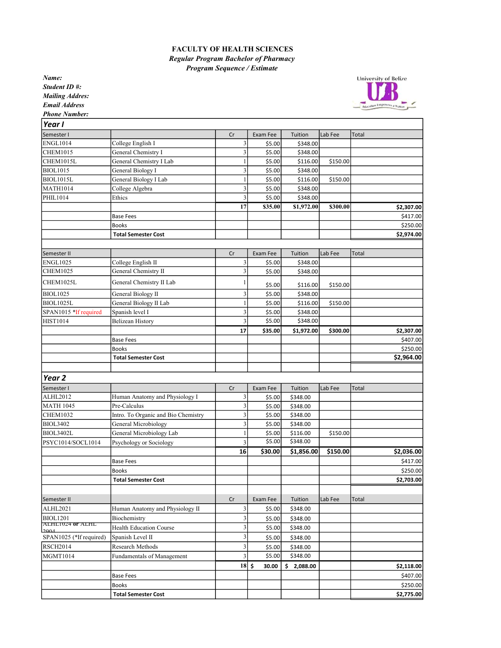## FACULTY OF HEALTH SCIENCES Regular Program Bachelor of Pharmacy Program Sequence / Estimate

Name: Student ID #: Mailing Addres: Email Address



Phone Number:

| Year I                              |                                     |                         |                  |                      |          |              |
|-------------------------------------|-------------------------------------|-------------------------|------------------|----------------------|----------|--------------|
| Semester I                          |                                     | Cr                      | Exam Fee         | Tuition              | Lab Fee  | Total        |
| <b>ENGL1014</b>                     | College English I                   | 3                       | \$5.00           | \$348.00             |          |              |
| <b>CHEM1015</b>                     | General Chemistry I                 | 3                       | \$5.00           | \$348.00             |          |              |
| CHEM1015L                           | General Chemistry I Lab             |                         | \$5.00           | \$116.00             | \$150.00 |              |
| <b>BIOL1015</b>                     | General Biology I                   | 3                       | \$5.00           | \$348.00             |          |              |
| <b>BIOL1015L</b>                    | General Biology I Lab               |                         | \$5.00           | \$116.00             | \$150.00 |              |
| <b>MATH1014</b>                     | College Algebra                     | 3                       | \$5.00           | \$348.00             |          |              |
| PHIL1014                            | Ethics                              | 3                       | \$5.00           | \$348.00             |          |              |
|                                     |                                     | 17                      | \$35.00          | \$1,972.00           | \$300.00 | \$2,307.00   |
|                                     | <b>Base Fees</b>                    |                         |                  |                      |          | \$417.00     |
|                                     | <b>Books</b>                        |                         |                  |                      |          | \$250.00     |
|                                     | <b>Total Semester Cost</b>          |                         |                  |                      |          | \$2,974.00   |
|                                     |                                     |                         |                  |                      |          |              |
| Semester II                         |                                     | Cr                      | Exam Fee         | Tuition              | Lab Fee  | Total        |
| <b>ENGL1025</b>                     | College English II                  | 3                       | \$5.00           | \$348.00             |          |              |
| <b>CHEM1025</b>                     | General Chemistry II                | 3                       | \$5.00           | \$348.00             |          |              |
| CHEM1025L                           | General Chemistry II Lab            |                         | \$5.00           | \$116.00             | \$150.00 |              |
| <b>BIOL1025</b>                     | General Biology II                  | 3                       | \$5.00           | \$348.00             |          |              |
| BIOL1025L                           | General Biology II Lab              |                         | \$5.00           | \$116.00             | \$150.00 |              |
| SPAN1015 *If required               | Spanish level I                     | 3                       | \$5.00           | \$348.00             |          |              |
| <b>HIST1014</b>                     | <b>Belizean History</b>             | 3                       | \$5.00           | \$348.00             |          |              |
|                                     |                                     | 17                      | \$35.00          | \$1,972.00           | \$300.00 | \$2,307.00   |
|                                     | <b>Base Fees</b>                    |                         |                  |                      |          | \$407.00     |
|                                     | <b>Books</b>                        |                         |                  |                      |          | \$250.00     |
|                                     | <b>Total Semester Cost</b>          |                         |                  |                      |          | \$2,964.00   |
|                                     |                                     |                         |                  |                      |          |              |
| Year <sub>2</sub>                   |                                     |                         |                  |                      |          |              |
|                                     |                                     |                         |                  |                      |          |              |
| Semester I                          |                                     | Cr                      | Exam Fee         | Tuition              | Lab Fee  | <b>Total</b> |
| ALHL2012                            | Human Anatomy and Physiology I      | 3                       | \$5.00           | \$348.00             |          |              |
| <b>MATH 1045</b>                    | Pre-Calculus                        | 3                       | \$5.00           | \$348.00             |          |              |
| <b>CHEM1032</b>                     | Intro. To Organic and Bio Chemistry | 3                       | \$5.00           | \$348.00             |          |              |
| <b>BIOL3402</b>                     | General Microbiology                | 3                       | \$5.00           | \$348.00             |          |              |
| BIOL3402L                           | General Microbiology Lab            |                         | \$5.00<br>\$5.00 | \$116.00<br>\$348.00 | \$150.00 |              |
| PSYC1014/SOCL1014                   | Psychology or Sociology             | 3<br>16                 | \$30.00          | \$1,856.00           | \$150.00 | \$2,036.00   |
|                                     |                                     |                         |                  |                      |          |              |
|                                     | <b>Base Fees</b>                    |                         |                  |                      |          | \$417.00     |
|                                     | <b>Books</b>                        |                         |                  |                      |          | \$250.00     |
|                                     | <b>Total Semester Cost</b>          |                         |                  |                      |          | \$2,703.00   |
|                                     |                                     |                         |                  |                      |          |              |
| Semester II                         |                                     | Cr                      | Exam Fee         | Tuition              | Lab Fee  | Total        |
| ALHL2021                            | Human Anatomy and Physiology II     | 3                       | \$5.00           | \$348.00             |          |              |
| <b>BIOL1201</b><br>ALHLIUZ4 OF ALHL | Biochemistry                        | $\overline{\mathbf{3}}$ | \$5.00           | \$348.00             |          |              |
| 2004                                | Health Education Course             | 3                       | \$5.00           | \$348.00             |          |              |
| SPAN1025 (*If required)             | Spanish Level II                    | 3                       | \$5.00           | \$348.00             |          |              |
| <b>RSCH2014</b>                     | Research Methods                    | 3                       | \$5.00           | \$348.00             |          |              |
| MGMT1014                            | Fundamentals of Management          | 3                       | \$5.00           | \$348.00             |          |              |
|                                     |                                     | $18$ \$                 | 30.00            | \$2,088.00           |          | \$2,118.00   |
|                                     | <b>Base Fees</b>                    |                         |                  |                      |          | \$407.00     |
|                                     | <b>Books</b>                        |                         |                  |                      |          | \$250.00     |
|                                     | <b>Total Semester Cost</b>          |                         |                  |                      |          | \$2,775.00   |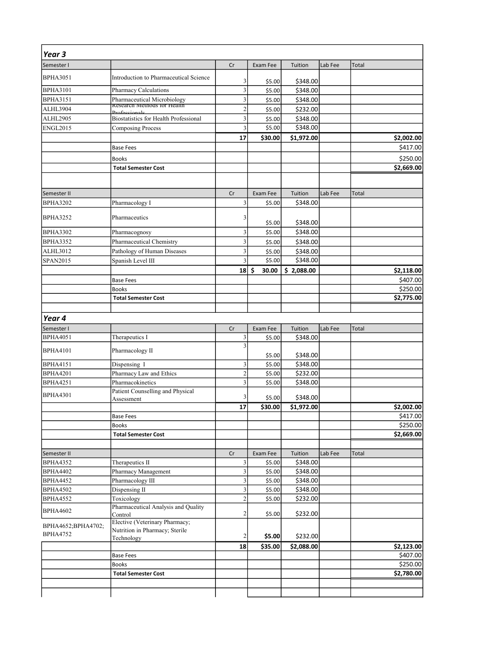| Year <sub>3</sub>  |                                                                      |                |                   |                        |         |              |                      |
|--------------------|----------------------------------------------------------------------|----------------|-------------------|------------------------|---------|--------------|----------------------|
| Semester I         |                                                                      | Cr             | Exam Fee          | Tuition                | Lab Fee | Total        |                      |
| <b>BPHA3051</b>    | Introduction to Pharmaceutical Science                               |                |                   |                        |         |              |                      |
| <b>BPHA3101</b>    | Pharmacy Calculations                                                | 3<br>3         | \$5.00<br>\$5.00  | \$348.00<br>\$348.00   |         |              |                      |
| <b>BPHA3151</b>    |                                                                      | 3              | \$5.00            | \$348.00               |         |              |                      |
| ALHL3904           | Pharmaceutical Microbiology<br>Research Methods for Health           | $\overline{2}$ | \$5.00            | \$232.00               |         |              |                      |
| ALHL2905           | <b>Desfaccionale</b><br><b>Biostatistics for Health Professional</b> | 3              | \$5.00            | \$348.00               |         |              |                      |
| <b>ENGL2015</b>    | <b>Composing Process</b>                                             | 3              | \$5.00            | \$348.00               |         |              |                      |
|                    |                                                                      | 17             | \$30.00           | \$1,972.00             |         |              | \$2,002.00           |
|                    | <b>Base Fees</b>                                                     |                |                   |                        |         |              | \$417.00             |
|                    | <b>Books</b>                                                         |                |                   |                        |         |              | \$250.00             |
|                    | <b>Total Semester Cost</b>                                           |                |                   |                        |         |              | \$2,669.00           |
|                    |                                                                      |                |                   |                        |         |              |                      |
|                    |                                                                      |                |                   |                        |         |              |                      |
| Semester II        |                                                                      | Cr             | Exam Fee          | Tuition                | Lab Fee | Total        |                      |
| <b>BPHA3202</b>    | Pharmacology I                                                       | 3              | \$5.00            | \$348.00               |         |              |                      |
| <b>BPHA3252</b>    | Pharmaceutics                                                        | 3              |                   |                        |         |              |                      |
|                    |                                                                      |                | \$5.00            | \$348.00               |         |              |                      |
| <b>BPHA3302</b>    | Pharmacognosy                                                        | 3              | \$5.00            | \$348.00               |         |              |                      |
| <b>BPHA3352</b>    | Pharmaceutical Chemistry                                             | 3              | \$5.00            | \$348.00               |         |              |                      |
| ALHL3012           | Pathology of Human Diseases                                          | 3              | \$5.00            | \$348.00               |         |              |                      |
| SPAN2015           | Spanish Level III                                                    | $\overline{3}$ | \$5.00            | \$348.00               |         |              |                      |
|                    |                                                                      | 18             | \$<br>30.00       | \$2,088.00             |         |              | \$2,118.00           |
|                    | <b>Base Fees</b><br><b>Books</b>                                     |                |                   |                        |         |              | \$407.00<br>\$250.00 |
|                    | <b>Total Semester Cost</b>                                           |                |                   |                        |         |              | \$2,775.00           |
|                    |                                                                      |                |                   |                        |         |              |                      |
| Year 4             |                                                                      |                |                   |                        |         |              |                      |
| Semester I         |                                                                      | Cr             | Exam Fee          | Tuition                | Lab Fee | Total        |                      |
| <b>BPHA4051</b>    | Therapeutics I                                                       | 3              | \$5.00            | \$348.00               |         |              |                      |
|                    |                                                                      | 3              |                   |                        |         |              |                      |
| <b>BPHA4101</b>    | Pharmacology II                                                      |                | \$5.00            | \$348.00               |         |              |                      |
| <b>BPHA4151</b>    | Dispensing I                                                         | 3              | \$5.00            | \$348.00               |         |              |                      |
| <b>BPHA4201</b>    | Pharmacy Law and Ethics                                              | $\overline{2}$ | \$5.00            | \$232.00               |         |              |                      |
| <b>BPHA4251</b>    | Pharmacokinetics                                                     | 3              | \$5.00            | \$348.00               |         |              |                      |
| <b>BPHA4301</b>    | Patient Counselling and Physical                                     | 3              |                   |                        |         |              |                      |
|                    | Assessment                                                           | 17             | \$5.00<br>\$30.00 | \$348.00<br>\$1,972.00 |         |              | \$2,002.00           |
|                    | <b>Base Fees</b>                                                     |                |                   |                        |         |              | \$417.00             |
|                    | <b>Books</b>                                                         |                |                   |                        |         |              | \$250.00             |
|                    | <b>Total Semester Cost</b>                                           |                |                   |                        |         |              | \$2,669.00           |
|                    |                                                                      |                |                   |                        |         |              |                      |
| Semester II        |                                                                      | Cr             | Exam Fee          | Tuition                | Lab Fee | <b>Total</b> |                      |
| <b>BPHA4352</b>    | Therapeutics II                                                      | 3              | \$5.00            | \$348.00               |         |              |                      |
| <b>BPHA4402</b>    | Pharmacy Management                                                  | 3              | \$5.00            | \$348.00               |         |              |                      |
| <b>BPHA4452</b>    | Pharmacology III                                                     | $\mathfrak{Z}$ | \$5.00            | \$348.00               |         |              |                      |
| <b>BPHA4502</b>    |                                                                      | 3              | \$5.00            | \$348.00               |         |              |                      |
| <b>BPHA4552</b>    | Dispensing II                                                        |                |                   |                        |         |              |                      |
|                    | Toxicology                                                           | $\overline{2}$ | \$5.00            | \$232.00               |         |              |                      |
|                    | Pharmaceutical Analysis and Quality                                  |                |                   |                        |         |              |                      |
| <b>BPHA4602</b>    | Control                                                              | $\overline{2}$ | \$5.00            | \$232.00               |         |              |                      |
| BPHA4652;BPHA4702; | Elective (Veterinary Pharmacy;                                       |                |                   |                        |         |              |                      |
| <b>BPHA4752</b>    | Nutrition in Pharmacy; Sterile<br>Technology                         | $\overline{2}$ | \$5.00            | \$232.00               |         |              |                      |
|                    |                                                                      | 18             | \$35.00           | \$2,088.00             |         |              | \$2,123.00           |
|                    | <b>Base Fees</b>                                                     |                |                   |                        |         |              | \$407.00             |
|                    | <b>Books</b>                                                         |                |                   |                        |         |              | \$250.00             |
|                    | <b>Total Semester Cost</b>                                           |                |                   |                        |         |              | \$2,780.00           |
|                    |                                                                      |                |                   |                        |         |              |                      |